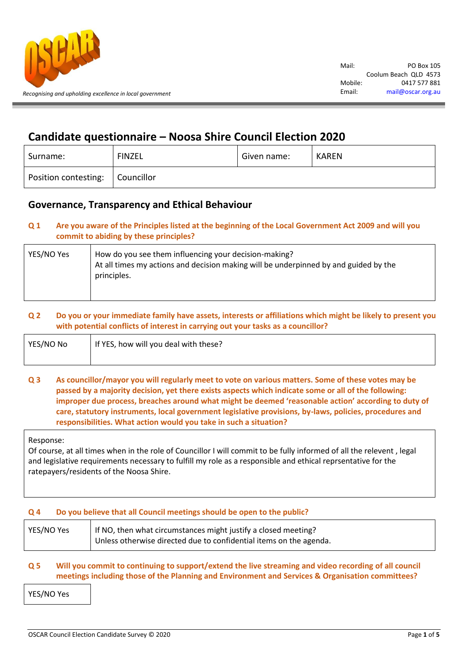

# **Candidate questionnaire – Noosa Shire Council Election 2020**

| Surname:             | <b>FINZEL</b> | Given name: | <b>KAREN</b> |
|----------------------|---------------|-------------|--------------|
| Position contesting: | Councillor    |             |              |

# **Governance, Transparency and Ethical Behaviour**

# **Q 1 Are you aware of the Principles listed at the beginning of the Local Government Act 2009 and will you commit to abiding by these principles?**

| YES/NO Yes | How do you see them influencing your decision-making?<br>At all times my actions and decision making will be underpinned by and guided by the<br>principles. |
|------------|--------------------------------------------------------------------------------------------------------------------------------------------------------------|
|            |                                                                                                                                                              |

# **Q 2 Do you or your immediate family have assets, interests or affiliations which might be likely to present you with potential conflicts of interest in carrying out your tasks as a councillor?**

| YES/NO No | If YES, how will you deal with these? |
|-----------|---------------------------------------|
|           |                                       |

# **Q 3 As councillor/mayor you will regularly meet to vote on various matters. Some of these votes may be passed by a majority decision, yet there exists aspects which indicate some or all of the following: improper due process, breaches around what might be deemed 'reasonable action' according to duty of care, statutory instruments, local government legislative provisions, by-laws, policies, procedures and responsibilities. What action would you take in such a situation?**

Response:

Of course, at all times when in the role of Councillor I will commit to be fully informed of all the relevent , legal and legislative requirements necessary to fulfill my role as a responsible and ethical reprsentative for the ratepayers/residents of the Noosa Shire.

# **Q 4 Do you believe that all Council meetings should be open to the public?**

| YES/NO Yes | If NO, then what circumstances might justify a closed meeting?     |
|------------|--------------------------------------------------------------------|
|            | Unless otherwise directed due to confidential items on the agenda. |

# **Q 5 Will you commit to continuing to support/extend the live streaming and video recording of all council meetings including those of the Planning and Environment and Services & Organisation committees?**

YES/NO Yes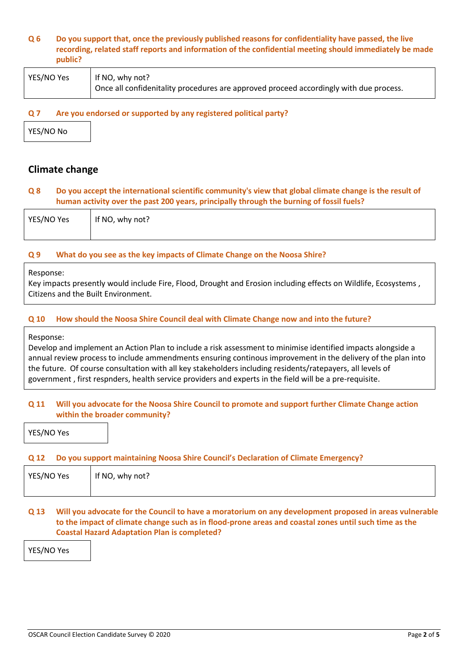### **Q 6 Do you support that, once the previously published reasons for confidentiality have passed, the live recording, related staff reports and information of the confidential meeting should immediately be made public?**

| YES/NO Yes | If NO, why not?                                                                        |
|------------|----------------------------------------------------------------------------------------|
|            | Once all confidenitality procedures are approved proceed accordingly with due process. |

### **Q 7 Are you endorsed or supported by any registered political party?**

YES/NO No

# **Climate change**

### **Q 8 Do you accept the international scientific community's view that global climate change is the result of human activity over the past 200 years, principally through the burning of fossil fuels?**

| YES/NO Yes | I If NO, why not? |
|------------|-------------------|
|            |                   |

### **Q 9 What do you see as the key impacts of Climate Change on the Noosa Shire?**

#### Response:

Key impacts presently would include Fire, Flood, Drought and Erosion including effects on Wildlife, Ecosystems , Citizens and the Built Environment.

### **Q 10 How should the Noosa Shire Council deal with Climate Change now and into the future?**

#### Response:

Develop and implement an Action Plan to include a risk assessment to minimise identified impacts alongside a annual review process to include ammendments ensuring continous improvement in the delivery of the plan into the future. Of course consultation with all key stakeholders including residents/ratepayers, all levels of government , first respnders, health service providers and experts in the field will be a pre-requisite.

### **Q 11 Will you advocate for the Noosa Shire Council to promote and support further Climate Change action within the broader community?**

YES/NO Yes

### **Q 12 Do you support maintaining Noosa Shire Council's Declaration of Climate Emergency?**

| YES/NO Yes | If NO,<br>, why not? |  |
|------------|----------------------|--|
|            |                      |  |

# **Q 13 Will you advocate for the Council to have a moratorium on any development proposed in areas vulnerable to the impact of climate change such as in flood-prone areas and coastal zones until such time as the Coastal Hazard Adaptation Plan is completed?**

YES/NO Yes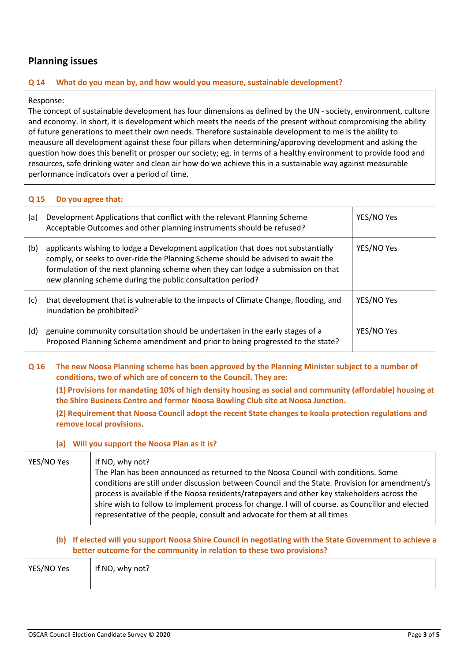# **Planning issues**

### **Q 14 What do you mean by, and how would you measure, sustainable development?**

### Response:

The concept of sustainable development has four dimensions as defined by the UN - society, environment, culture and economy. In short, it is development which meets the needs of the present without compromising the ability of future generations to meet their own needs. Therefore sustainable development to me is the ability to meausure all development against these four pillars when determining/approving development and asking the question how does this benefit or prosper our society; eg. in terms of a healthy environment to provide food and resources, safe drinking water and clean air how do we achieve this in a sustainable way against measurable performance indicators over a period of time.

### **Q 15 Do you agree that:**

| (a) | Development Applications that conflict with the relevant Planning Scheme<br>Acceptable Outcomes and other planning instruments should be refused?                                                                                                                                                                       | YES/NO Yes |
|-----|-------------------------------------------------------------------------------------------------------------------------------------------------------------------------------------------------------------------------------------------------------------------------------------------------------------------------|------------|
| (b) | applicants wishing to lodge a Development application that does not substantially<br>comply, or seeks to over-ride the Planning Scheme should be advised to await the<br>formulation of the next planning scheme when they can lodge a submission on that<br>new planning scheme during the public consultation period? | YES/NO Yes |
| (c) | that development that is vulnerable to the impacts of Climate Change, flooding, and<br>inundation be prohibited?                                                                                                                                                                                                        | YES/NO Yes |
| (d) | genuine community consultation should be undertaken in the early stages of a<br>Proposed Planning Scheme amendment and prior to being progressed to the state?                                                                                                                                                          | YES/NO Yes |

**Q 16 The new Noosa Planning scheme has been approved by the Planning Minister subject to a number of conditions, two of which are of concern to the Council. They are:**

**(1) Provisions for mandating 10% of high density housing as social and community (affordable) housing at the Shire Business Centre and former Noosa Bowling Club site at Noosa Junction.**

**(2) Requirement that Noosa Council adopt the recent State changes to koala protection regulations and remove local provisions.**

### **(a) Will you support the Noosa Plan as it is?**

| YES/NO Yes | If NO, why not?                                                                                   |
|------------|---------------------------------------------------------------------------------------------------|
|            | The Plan has been announced as returned to the Noosa Council with conditions. Some                |
|            | conditions are still under discussion between Council and the State. Provision for amendment/s    |
|            | process is available if the Noosa residents/ratepayers and other key stakeholders across the      |
|            | shire wish to follow to implement process for change. I will of course, as Councillor and elected |
|            | representative of the people, consult and advocate for them at all times                          |
|            |                                                                                                   |

# **(b) If elected will you support Noosa Shire Council in negotiating with the State Government to achieve a better outcome for the community in relation to these two provisions?**

| YES/NO Yes | If NO, why not? |
|------------|-----------------|
|            |                 |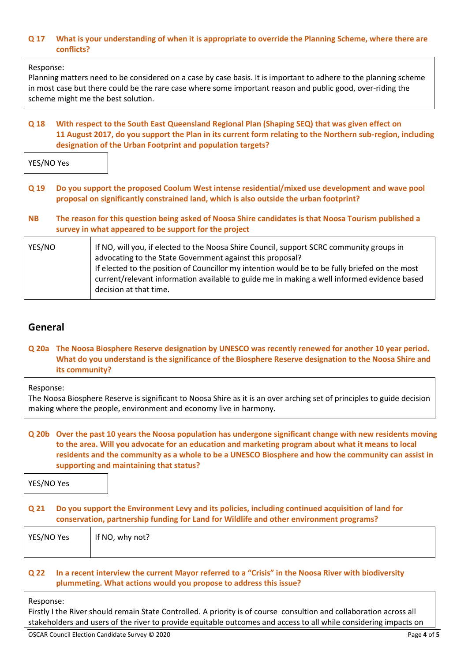### **Q 17 What is your understanding of when it is appropriate to override the Planning Scheme, where there are conflicts?**

### Response:

Planning matters need to be considered on a case by case basis. It is important to adhere to the planning scheme in most case but there could be the rare case where some important reason and public good, over-riding the scheme might me the best solution.

### **Q 18 With respect to the South East Queensland Regional Plan (Shaping SEQ) that was given effect on 11 August 2017, do you support the Plan in its current form relating to the Northern sub-region, including designation of the Urban Footprint and population targets?**

YES/NO Yes

- **Q 19 Do you support the proposed Coolum West intense residential/mixed use development and wave pool proposal on significantly constrained land, which is also outside the urban footprint?**
- **NB The reason for this question being asked of Noosa Shire candidates is that Noosa Tourism published a survey in what appeared to be support for the project**

| YES/NO | If NO, will you, if elected to the Noosa Shire Council, support SCRC community groups in                                                                                                      |
|--------|-----------------------------------------------------------------------------------------------------------------------------------------------------------------------------------------------|
|        | advocating to the State Government against this proposal?                                                                                                                                     |
|        | If elected to the position of Councillor my intention would be to be fully briefed on the most<br>current/relevant information available to guide me in making a well informed evidence based |
|        | decision at that time.                                                                                                                                                                        |

# **General**

### **Q 20a The Noosa Biosphere Reserve designation by UNESCO was recently renewed for another 10 year period. What do you understand is the significance of the Biosphere Reserve designation to the Noosa Shire and its community?**

Response:

The Noosa Biosphere Reserve is significant to Noosa Shire as it is an over arching set of principles to guide decision making where the people, environment and economy live in harmony.

# **Q 20b Over the past 10 years the Noosa population has undergone significant change with new residents moving to the area. Will you advocate for an education and marketing program about what it means to local residents and the community as a whole to be a UNESCO Biosphere and how the community can assist in supporting and maintaining that status?**

YES/NO Yes

### **Q 21 Do you support the Environment Levy and its policies, including continued acquisition of land for conservation, partnership funding for Land for Wildlife and other environment programs?**

| YES/NO Yes   If NO, why not? |  |
|------------------------------|--|
|                              |  |

### **Q 22 In a recent interview the current Mayor referred to a "Crisis" in the Noosa River with biodiversity plummeting. What actions would you propose to address this issue?**

Response:

Firstly I the River should remain State Controlled. A priority is of course consultion and collaboration across all stakeholders and users of the river to provide equitable outcomes and access to all while considering impacts on